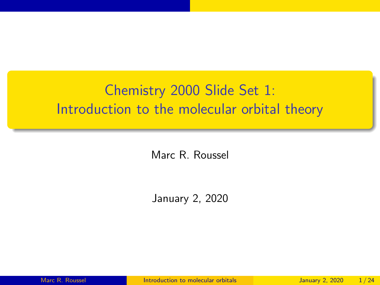## <span id="page-0-0"></span>Chemistry 2000 Slide Set 1: Introduction to the molecular orbital theory

Marc R. Roussel

January 2, 2020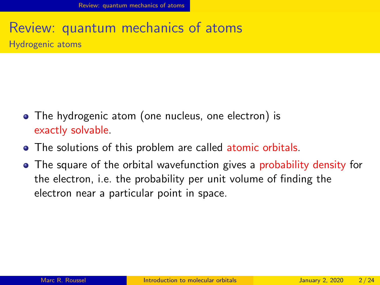## <span id="page-1-0"></span>Review: quantum mechanics of atoms Hydrogenic atoms

- The hydrogenic atom (one nucleus, one electron) is exactly solvable.
- The solutions of this problem are called atomic orbitals.
- The square of the orbital wavefunction gives a probability density for the electron, i.e. the probability per unit volume of finding the electron near a particular point in space.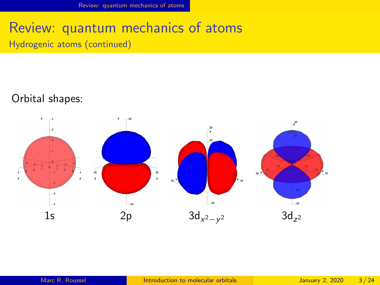#### Review: quantum mechanics of atoms Hydrogenic atoms (continued)

#### Orbital shapes:

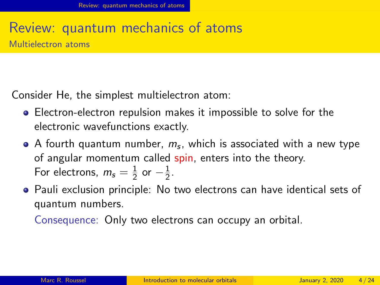#### Review: quantum mechanics of atoms Multielectron atoms

Consider He, the simplest multielectron atom:

- Electron-electron repulsion makes it impossible to solve for the electronic wavefunctions exactly.
- A fourth quantum number,  $m_{\rm s}$ , which is associated with a new type of angular momentum called spin, enters into the theory. For electrons,  $m_{\mathsf{s}}=\frac{1}{2}$  $rac{1}{2}$  or  $-\frac{1}{2}$  $\frac{1}{2}$ .
- **•** Pauli exclusion principle: No two electrons can have identical sets of quantum numbers.

Consequence: Only two electrons can occupy an orbital.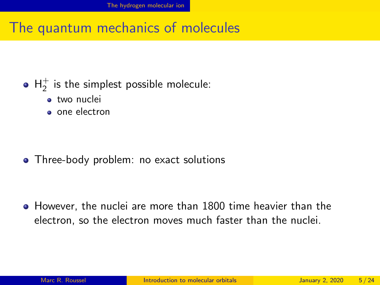#### <span id="page-4-0"></span>The quantum mechanics of molecules

## ${\sf H}_2^+$  is the simplest possible molecule:

- **•** two nuclei
- one electron

• Three-body problem: no exact solutions

However, the nuclei are more than 1800 time heavier than the electron, so the electron moves much faster than the nuclei.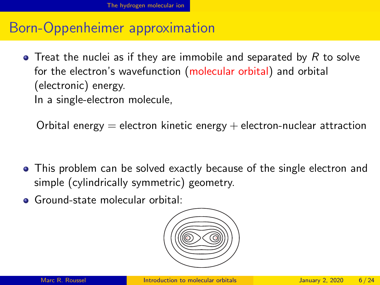#### Born-Oppenheimer approximation

 $\bullet$  Treat the nuclei as if they are immobile and separated by R to solve for the electron's wavefunction (molecular orbital) and orbital (electronic) energy.

In a single-electron molecule,

Orbital energy  $=$  electron kinetic energy  $+$  electron-nuclear attraction

- This problem can be solved exactly because of the single electron and simple (cylindrically symmetric) geometry.
- Ground-state molecular orbital:

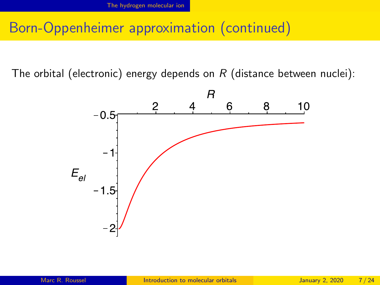#### Born-Oppenheimer approximation (continued)

The orbital (electronic) energy depends on  $R$  (distance between nuclei):

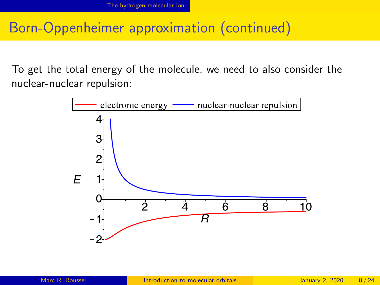#### Born-Oppenheimer approximation (continued)

To get the total energy of the molecule, we need to also consider the nuclear-nuclear repulsion:

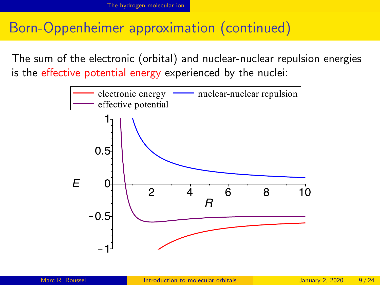## Born-Oppenheimer approximation (continued)

The sum of the electronic (orbital) and nuclear-nuclear repulsion energies is the effective potential energy experienced by the nuclei:

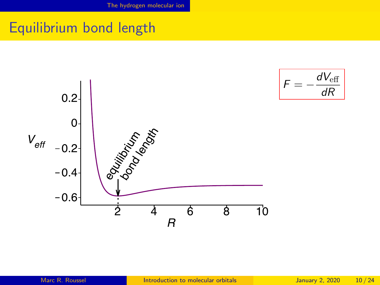## Equilibrium bond length



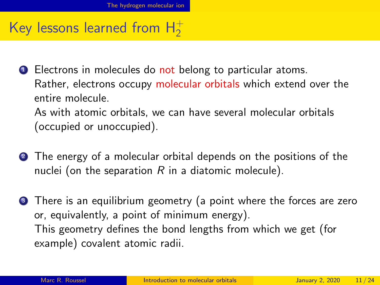# Key lessons learned from  $H_2^+$

**1** Electrons in molecules do not belong to particular atoms. Rather, electrons occupy molecular orbitals which extend over the entire molecule.

As with atomic orbitals, we can have several molecular orbitals (occupied or unoccupied).

- **2** The energy of a molecular orbital depends on the positions of the nuclei (on the separation  $R$  in a diatomic molecule).
- **3** There is an equilibrium geometry (a point where the forces are zero or, equivalently, a point of minimum energy). This geometry defines the bond lengths from which we get (for example) covalent atomic radii.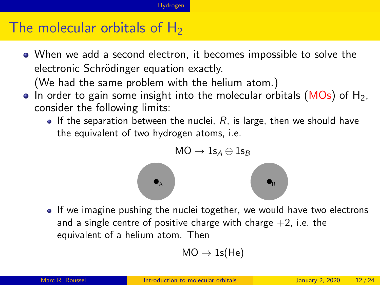#### <span id="page-11-0"></span>The molecular orbitals of  $H_2$

When we add a second electron, it becomes impossible to solve the electronic Schrödinger equation exactly.

(We had the same problem with the helium atom.)

- $\bullet$  In order to gain some insight into the molecular orbitals (MOs) of H<sub>2</sub>, consider the following limits:
	- If the separation between the nuclei,  $R$ , is large, then we should have the equivalent of two hydrogen atoms, i.e.



• If we imagine pushing the nuclei together, we would have two electrons and a single centre of positive charge with charge  $+2$ , i.e. the equivalent of a helium atom. Then

$$
\text{MO} \to \text{1s}(\text{He})
$$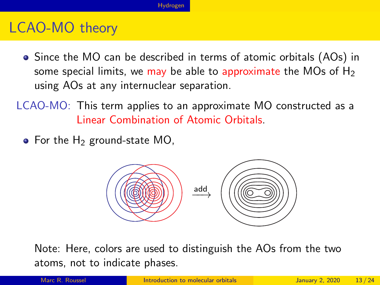#### LCAO-MO theory

- Since the MO can be described in terms of atomic orbitals (AOs) in some special limits, we may be able to approximate the MOs of  $H_2$ using AOs at any internuclear separation.
- LCAO-MO: This term applies to an approximate MO constructed as a Linear Combination of Atomic Orbitals.
	- $\bullet$  For the H<sub>2</sub> ground-state MO,



Note: Here, colors are used to distinguish the AOs from the two atoms, not to indicate phases.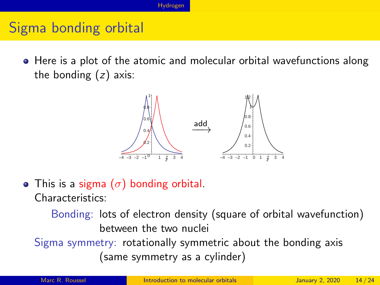## Sigma bonding orbital

• Here is a plot of the atomic and molecular orbital wavefunctions along the bonding  $(z)$  axis:



• This is a sigma  $(\sigma)$  bonding orbital. Characteristics:

Bonding: lots of electron density (square of orbital wavefunction) between the two nuclei

Sigma symmetry: rotationally symmetric about the bonding axis (same symmetry as a cylinder)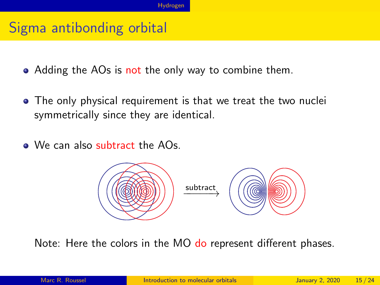#### Sigma antibonding orbital

- Adding the AOs is not the only way to combine them.
- The only physical requirement is that we treat the two nuclei symmetrically since they are identical.
- We can also subtract the AOs.



Note: Here the colors in the MO do represent different phases.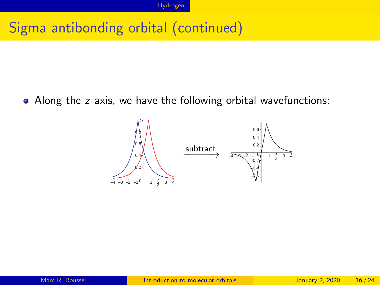## Sigma antibonding orbital (continued)

• Along the z axis, we have the following orbital wavefunctions:

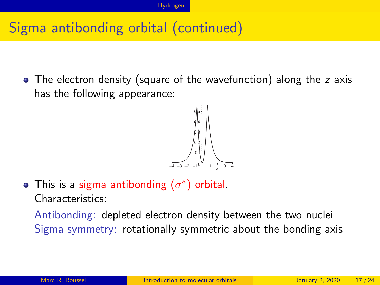## Sigma antibonding orbital (continued)

• The electron density (square of the wavefunction) along the z axis has the following appearance:



This is a sigma antibonding  $(\sigma^*)$  orbital. Characteristics:

Antibonding: depleted electron density between the two nuclei Sigma symmetry: rotationally symmetric about the bonding axis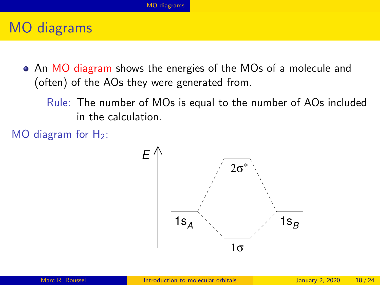### <span id="page-17-0"></span>MO diagrams

- An MO diagram shows the energies of the MOs of a molecule and (often) of the AOs they were generated from.
	- Rule: The number of MOs is equal to the number of AOs included in the calculation.
- MO diagram for  $H_2$ :

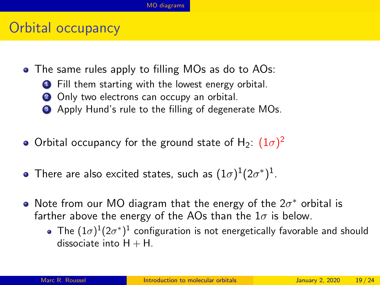#### Orbital occupancy

- The same rules apply to filling MOs as do to AOs:
	- **1** Fill them starting with the lowest energy orbital.
	- 2 Only two electrons can occupy an orbital.
	- **3** Apply Hund's rule to the filling of degenerate MOs.
- Orbital occupancy for the ground state of H $_2$ :  $(1\sigma)^2$
- There are also excited states, such as  $(1\sigma)^1(2\sigma^*)^1.$
- Note from our MO diagram that the energy of the  $2\sigma^*$  orbital is farther above the energy of the AOs than the  $1\sigma$  is below.
	- The  $(1\sigma)^1(2\sigma^*)^1$  configuration is not energetically favorable and should dissociate into  $H + H$ .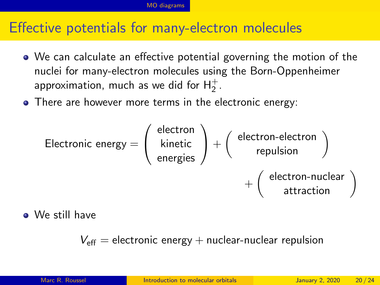#### Effective potentials for many-electron molecules

- We can calculate an effective potential governing the motion of the nuclei for many-electron molecules using the Born-Oppenheimer approximation, much as we did for  ${\sf H}_2^+$ .
- There are however more terms in the electronic energy:

$$
\text{Electronic energy} = \left(\begin{array}{c} \text{electron} \\ \text{kinctic} \\ \text{energies} \end{array}\right) + \left(\begin{array}{c} \text{electron-electron} \\ \text{repulsion} \\ + \left(\begin{array}{c} \text{electron-nuclear} \\ \text{attraction} \end{array}\right) \end{array}\right)
$$

We still have

 $V_{\text{eff}}$  = electronic energy + nuclear-nuclear repulsion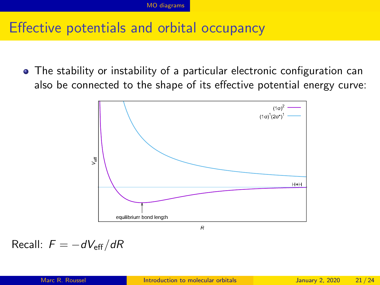## Effective potentials and orbital occupancy

The stability or instability of a particular electronic configuration can also be connected to the shape of its effective potential energy curve:



Recall:  $F = -dV_{\text{eff}}/dR$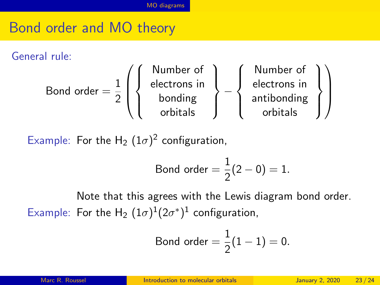## Bond order and MO theory

General rule:

Bond order = 
$$
\frac{1}{2} \left( \left\{ \begin{array}{c} \text{Number of} \\ \text{electrons in} \\ \text{bonding} \\ \text{orbitals} \end{array} \right\} - \left\{ \begin{array}{c} \text{Number of} \\ \text{electrons in} \\ \text{antibonding} \\ \text{orbitals} \end{array} \right\} \right)
$$

Example: For the H<sub>2</sub>  $(1\sigma)^2$  configuration,

Bond order 
$$
=\frac{1}{2}(2-0) = 1.
$$

Note that this agrees with the Lewis diagram bond order. Example: For the H<sub>2</sub>  $(1\sigma)^{1}(2\sigma^*)^{1}$  configuration,

Bond order = 
$$
\frac{1}{2}(1-1) = 0
$$
.